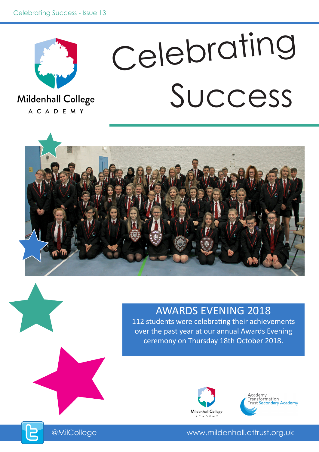

# Success Celebrating

Mildenhall College A C A D E M Y



### AWARDS EVENING 2018

112 students were celebrating their achievements over the past year at our annual Awards Evening ceremony on Thursday 18th October 2018.





@MilCollege www.mildenhall.attrust.org.uk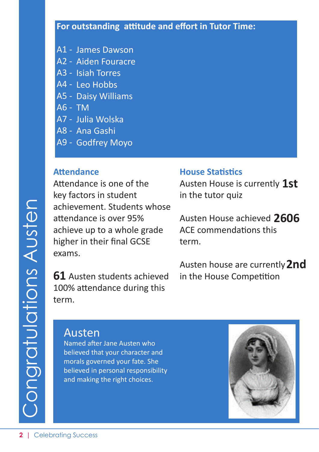- A1 James Dawson
- A2 Aiden Fouracre
- A3 Isiah Torres
- A4 Leo Hobbs
- A5 Daisy Williams
- A6 TM
- A7 Julia Wolska
- A8 Ana Gashi
- A9 Godfrey Moyo

#### **Attendance**

Attendance is one of the key factors in student achievement. Students whose attendance is over 95% achieve up to a whole grade higher in their final GCSE exams.

**61** Austen students achieved 100% attendance during this term.

#### **House Statistics**

Austen House is currently **1st** in the tutor quiz

Austen House achieved **2606** ACE commendations this term.

Austen house are currently **2nd** in the House Competition

### Austen

Named after Jane Austen who believed that your character and morals governed your fate. She believed in personal responsibility and making the right choices.

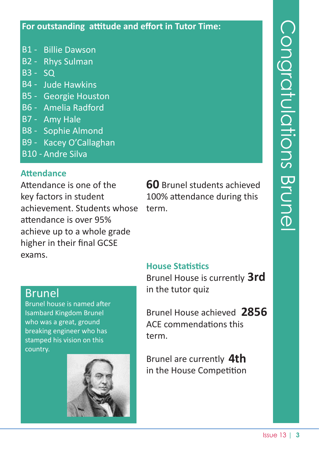- B1 Billie Dawson
- B2 Rhys Sulman
- B3 SQ
- B4 Jude Hawkins
- B5 Georgie Houston
- B6 Amelia Radford
- B7 Amy Hale
- B8 Sophie Almond
- B9 Kacey O'Callaghan
- B10 Andre Silva

#### **Attendance**

Attendance is one of the key factors in student achievement. Students whose attendance is over 95% achieve up to a whole grade higher in their final GCSE exams.

**60** Brunel students achieved 100% attendance during this term.

#### **House Statistics**

Brunel House is currently **3rd** in the tutor quiz

Brunel House achieved **2856** ACE commendations this term.

Brunel are currently **4th** in the House Competition

### **Brunel**

Brunel house is named after Isambard Kingdom Brunel who was a great, ground breaking engineer who has stamped his vision on this country.

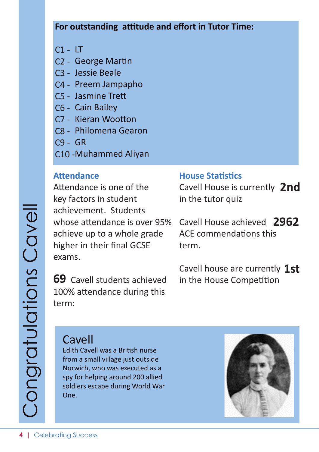- C1 LT
- C2 George Martin
- C3 Jessie Beale
- C4 Preem Jampapho
- C5 Jasmine Trett
- C6 Cain Bailey
- C7 Kieran Wootton
- C8 Philomena Gearon
- C9 GR
- C10 Muhammed Aliyan

#### **Attendance**

Attendance is one of the key factors in student achievement. Students whose attendance is over 95% achieve up to a whole grade higher in their final GCSE exams.

**69** Cavell students achieved 100% attendance during this term:

#### **House Statistics**

Cavell House is currently **2nd** in the tutor quiz

Cavell House achieved **2962** ACE commendations this term.

Cavell house are currently **1st** in the House Competition

### Cavell

Edith Cavell was a British nurse from a small village just outside Norwich, who was executed as a spy for helping around 200 allied soldiers escape during World War One.

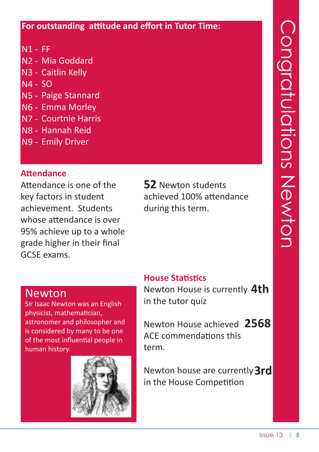- N1 FF
- N2 Mia Goddard
- N3 Caitlin Kelly
- N4 SO
- N5 Paige Stannard
- N6 Emma Morley
- N7 Courtnie Harris
- N8 Hannah Reid
- N9 Emily Driver

### **Attendance**

Attendance is one of the key factors in student achievement. Students whose attendance is over 95% achieve up to a whole grade higher in their final GCSE exams.

**52** Newton students achieved 100% attendance during this term.

### **House Statistics**

Newton House is currently **4th** in the tutor quiz

Newton House achieved **2568** ACE commendations this term.

Newton house are currently **3rd** in the House Competition

### Newton

Sir Isaac Newton was an English physicist, mathematician, astronomer and philosopher and is considered by many to be one of the most influential people in human history.

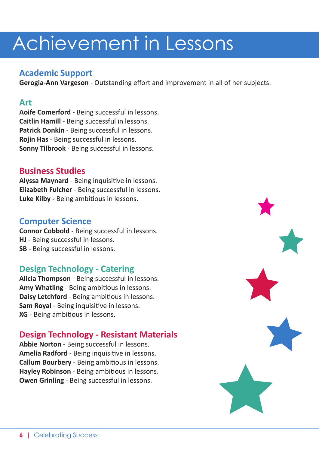#### **Academic Support**

**Gerogia-Ann Vargeson** - Outstanding effort and improvement in all of her subjects.

#### **Art**

**Aoife Comerford** - Being successful in lessons. **Caitlin Hamill** - Being successful in lessons. **Patrick Donkin** - Being successful in lessons. **Rojin Has** - Being successful in lessons. **Sonny Tilbrook** - Being successful in lessons.

#### **Business Studies**

**Alyssa Maynard** - Being inquisitive in lessons. **Elizabeth Fulcher** - Being successful in lessons. **Luke Kilby -** Being ambitious in lessons.

#### **Computer Science**

**Connor Cobbold** - Being successful in lessons. **HJ** - Being successful in lessons. **SB** - Being successful in lessons.

#### **Design Technology - Catering**

**Alicia Thompson** - Being successful in lessons. **Amy Whatling** - Being ambitious in lessons. **Daisy Letchford** - Being ambitious in lessons. **Sam Royal** - Being inquisitive in lessons. **XG** - Being ambitious in lessons.

#### **Design Technology - Resistant Materials**

**Abbie Norton** - Being successful in lessons. **Amelia Radford** - Being inquisitive in lessons. **Callum Bourbery** - Being ambitious in lessons. **Hayley Robinson** - Being ambitious in lessons. **Owen Grinling** - Being successful in lessons.

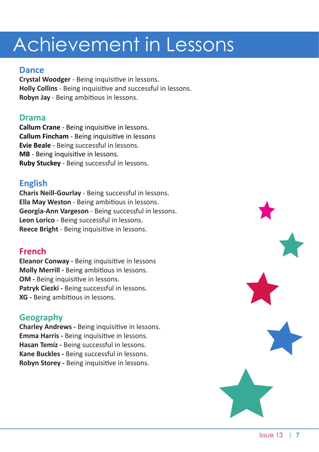#### **Dance**

**Crystal Woodger** - Being inquisitive in lessons. **Holly Collins** - Being inquisitive and successful in lessons. **Robyn Jay** - Being ambitious in lessons.

#### **Drama**

**Callum Crane** - Being inquisitive in lessons. **Callum Fincham** - Being inquisitive in lessons **Evie Beale** - Being successful in lessons. **MB** - Being inquisitive in lessons. **Ruby Stuckey** - Being successful in lessons.

#### **English**

**Charis Neill-Gourlay** - Being successful in lessons. **Ella May Weston** - Being ambitious in lessons. **Georgia-Ann Vargeson** - Being successful in lessons. **Leon Lorico** - Being successful in lessons. **Reece Bright** - Being inquisitive in lessons.

#### **French**

**Eleanor Conway -** Being inquisitive in lessons **Molly Merrill -** Being ambitious in lessons. **OM** - Being inquisitive in lessons. Patryk Ciezki - Being successful in lessons. **XG -** Being ambitious in lessons.

#### **Geography**

**Charley Andrews -** Being inquisitive in lessons. **Emma Harris -** Being inquisitive in lessons. **Hasan Temiz -** Being successful in lessons. **Kane Buckles -** Being successful in lessons. **Robyn Storey -** Being inquisitive in lessons.

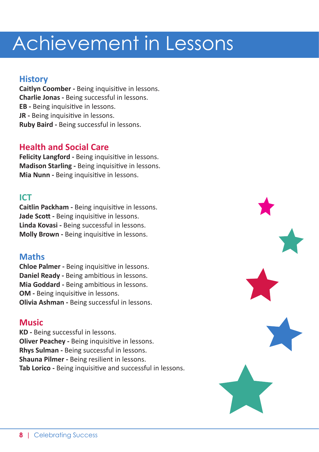#### **History**

**Caitlyn Coomber -** Being inquisitive in lessons. **Charlie Jonas -** Being successful in lessons. **EB -** Being inquisitive in lessons. **JR** - Being inquisitive in lessons. **Ruby Baird -** Being successful in lessons.

#### **Health and Social Care**

**Felicity Langford -** Being inquisitive in lessons. **Madison Starling -** Being inquisitive in lessons. **Mia Nunn -** Being inquisitive in lessons.

#### **ICT**

**Caitlin Packham -** Being inquisitive in lessons. **Jade Scott -** Being inquisitive in lessons. **Linda Kovasi -** Being successful in lessons. **Molly Brown -** Being inquisitive in lessons.

#### **Maths**

**Chloe Palmer -** Being inquisitive in lessons. **Daniel Ready -** Being ambitious in lessons. **Mia Goddard -** Being ambitious in lessons. **OM** - Being inquisitive in lessons. **Olivia Ashman -** Being successful in lessons.

#### **Music**

**KD -** Being successful in lessons. **Oliver Peachey -** Being inquisitive in lessons. **Rhys Sulman -** Being successful in lessons. **Shauna Pilmer -** Being resilient in lessons. **Tab Lorico -** Being inquisitive and successful in lessons.

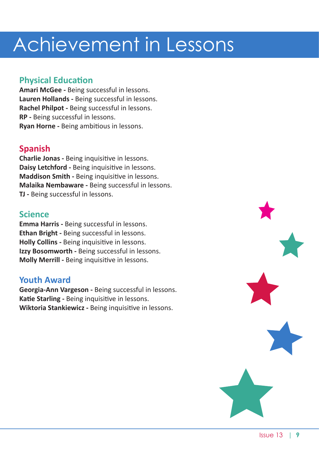#### **Physical Education**

**Amari McGee -** Being successful in lessons. **Lauren Hollands -** Being successful in lessons. **Rachel Philpot -** Being successful in lessons. **RP -** Being successful in lessons. **Ryan Horne -** Being ambitious in lessons.

#### **Spanish**

**Charlie Jonas -** Being inquisitive in lessons. **Daisy Letchford -** Being inquisitive in lessons. **Maddison Smith -** Being inquisitive in lessons. **Malaika Nembaware -** Being successful in lessons. **TJ -** Being successful in lessons.

#### **Science**

**Emma Harris -** Being successful in lessons. **Ethan Bright -** Being successful in lessons. **Holly Collins -** Being inquisitive in lessons. **Izzy Bosomworth -** Being successful in lessons. **Molly Merrill -** Being inquisitive in lessons.

#### **Youth Award**

**Georgia-Ann Vargeson -** Being successful in lessons. **Katie Starling -** Being inquisitive in lessons. **Wiktoria Stankiewicz -** Being inquisitive in lessons.

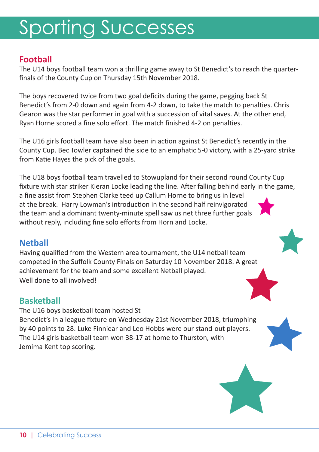# Sporting Successes

#### **Football**

The U14 boys football team won a thrilling game away to St Benedict's to reach the quarterfinals of the County Cup on Thursday 15th November 2018.

The boys recovered twice from two goal deficits during the game, pegging back St Benedict's from 2-0 down and again from 4-2 down, to take the match to penalties. Chris Gearon was the star performer in goal with a succession of vital saves. At the other end, Ryan Horne scored a fine solo effort. The match finished 4-2 on penalties.

The U16 girls football team have also been in action against St Benedict's recently in the County Cup. Bec Towler captained the side to an emphatic 5-0 victory, with a 25-yard strike from Katie Hayes the pick of the goals.

The U18 boys football team travelled to Stowupland for their second round County Cup fixture with star striker Kieran Locke leading the line. After falling behind early in the game, a fine assist from Stephen Clarke teed up Callum Horne to bring us in level at the break. Harry Lowman's introduction in the second half reinvigorated the team and a dominant twenty-minute spell saw us net three further goals without reply, including fine solo efforts from Horn and Locke.

#### **Netball**

Having qualified from the Western area tournament, the U14 netball team competed in the Suffolk County Finals on Saturday 10 November 2018. A great achievement for the team and some excellent Netball played. Well done to all involved!

#### **Basketball**

The U16 boys basketball team hosted St Benedict's in a league fixture on Wednesday 21st November 2018, triumphing by 40 points to 28. Luke Finniear and Leo Hobbs were our stand-out players. The U14 girls basketball team won 38-17 at home to Thurston, with Jemima Kent top scoring.

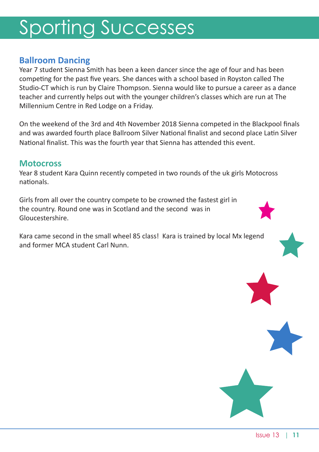# Sporting Successes

#### **Ballroom Dancing**

Year 7 student Sienna Smith has been a keen dancer since the age of four and has been competing for the past five years. She dances with a school based in Royston called The Studio-CT which is run by Claire Thompson. Sienna would like to pursue a career as a dance teacher and currently helps out with the younger children's classes which are run at The Millennium Centre in Red Lodge on a Friday.

On the weekend of the 3rd and 4th November 2018 Sienna competed in the Blackpool finals and was awarded fourth place Ballroom Silver National finalist and second place Latin Silver National finalist. This was the fourth year that Sienna has attended this event.

#### **Motocross**

Year 8 student Kara Quinn recently competed in two rounds of the uk girls Motocross nationals.

Girls from all over the country compete to be crowned the fastest girl in the country. Round one was in Scotland and the second was in Gloucestershire.

Kara came second in the small wheel 85 class! Kara is trained by local Mx legend and former MCA student Carl Nunn.

Issue 13 | **11**